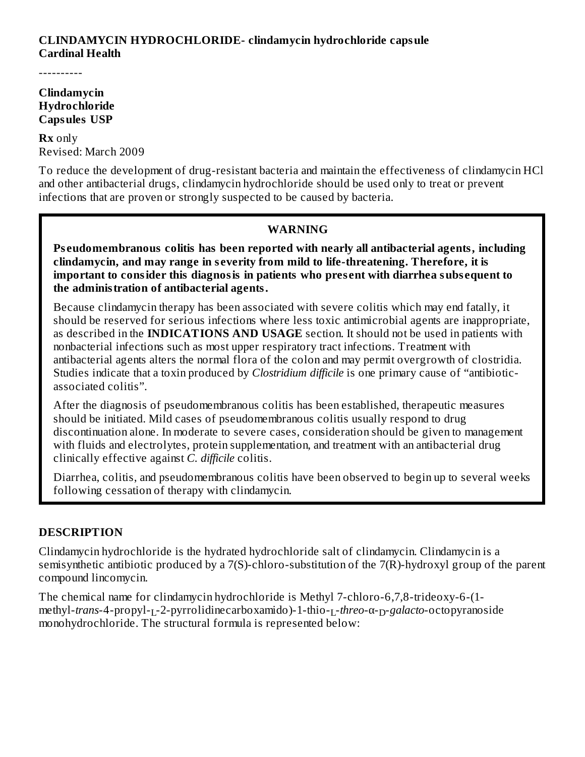## **CLINDAMYCIN HYDROCHLORIDE- clindamycin hydrochloride capsule Cardinal Health**

----------

#### **Clindamycin Hydrochloride Capsules USP**

**Rx** only Revised: March 2009

To reduce the development of drug-resistant bacteria and maintain the effectiveness of clindamycin HCl and other antibacterial drugs, clindamycin hydrochloride should be used only to treat or prevent infections that are proven or strongly suspected to be caused by bacteria.

#### **WARNING**

**Ps eudomembranous colitis has been reported with nearly all antibacterial agents, including clindamycin, and may range in s everity from mild to life-threatening. Therefore, it is important to consider this diagnosis in patients who pres ent with diarrhea subs equent to the administration of antibacterial agents.**

Because clindamycin therapy has been associated with severe colitis which may end fatally, it should be reserved for serious infections where less toxic antimicrobial agents are inappropriate, as described in the **INDICATIONS AND USAGE** section. It should not be used in patients with nonbacterial infections such as most upper respiratory tract infections. Treatment with antibacterial agents alters the normal flora of the colon and may permit overgrowth of clostridia. Studies indicate that a toxin produced by *Clostridium difficile* is one primary cause of "antibioticassociated colitis".

After the diagnosis of pseudomembranous colitis has been established, therapeutic measures should be initiated. Mild cases of pseudomembranous colitis usually respond to drug discontinuation alone. In moderate to severe cases, consideration should be given to management with fluids and electrolytes, protein supplementation, and treatment with an antibacterial drug clinically effective against *C. difficile* colitis.

Diarrhea, colitis, and pseudomembranous colitis have been observed to begin up to several weeks following cessation of therapy with clindamycin.

#### **DESCRIPTION**

Clindamycin hydrochloride is the hydrated hydrochloride salt of clindamycin. Clindamycin is a semisynthetic antibiotic produced by a 7(S)-chloro-substitution of the 7(R)-hydroxyl group of the parent compound lincomycin.

The chemical name for clindamycin hydrochloride is Methyl 7-chloro-6,7,8-trideoxy-6-(1 methyl-*trans*-4-propyl-<sub>L</sub>-2-pyrrolidinecarboxamido)-1-thio-<sub>L</sub>-*threo*-α-<sub>D</sub>-*galacto*-octopyranoside monohydrochloride. The structural formula is represented below: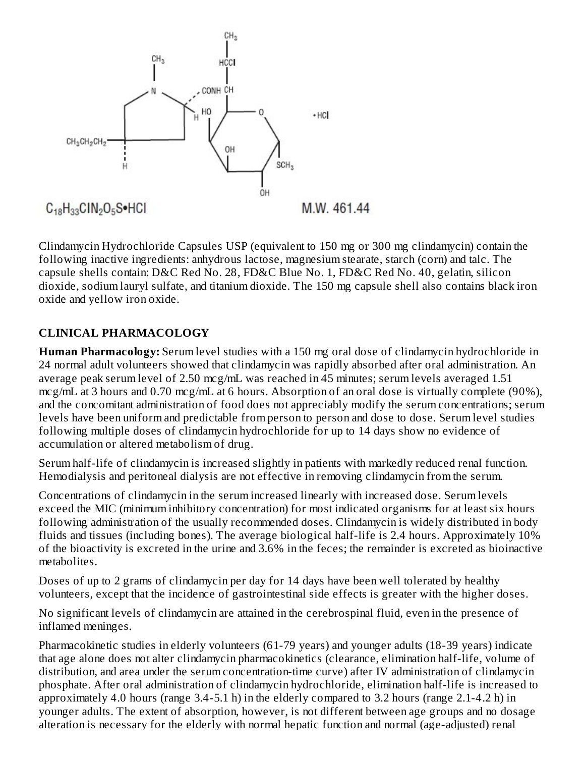

Clindamycin Hydrochloride Capsules USP (equivalent to 150 mg or 300 mg clindamycin) contain the following inactive ingredients: anhydrous lactose, magnesium stearate, starch (corn) and talc. The capsule shells contain: D&C Red No. 28, FD&C Blue No. 1, FD&C Red No. 40, gelatin, silicon dioxide, sodium lauryl sulfate, and titanium dioxide. The 150 mg capsule shell also contains black iron oxide and yellow iron oxide.

## **CLINICAL PHARMACOLOGY**

**Human Pharmacology:** Serum level studies with a 150 mg oral dose of clindamycin hydrochloride in 24 normal adult volunteers showed that clindamycin was rapidly absorbed after oral administration. An average peak serum level of 2.50 mcg/mL was reached in 45 minutes; serum levels averaged 1.51 mcg/mL at 3 hours and 0.70 mcg/mL at 6 hours. Absorption of an oral dose is virtually complete (90%), and the concomitant administration of food does not appreciably modify the serum concentrations; serum levels have been uniform and predictable from person to person and dose to dose. Serum level studies following multiple doses of clindamycin hydrochloride for up to 14 days show no evidence of accumulation or altered metabolism of drug.

Serum half-life of clindamycin is increased slightly in patients with markedly reduced renal function. Hemodialysis and peritoneal dialysis are not effective in removing clindamycin from the serum.

Concentrations of clindamycin in the serum increased linearly with increased dose. Serum levels exceed the MIC (minimum inhibitory concentration) for most indicated organisms for at least six hours following administration of the usually recommended doses. Clindamycin is widely distributed in body fluids and tissues (including bones). The average biological half-life is 2.4 hours. Approximately 10% of the bioactivity is excreted in the urine and 3.6% in the feces; the remainder is excreted as bioinactive metabolites.

Doses of up to 2 grams of clindamycin per day for 14 days have been well tolerated by healthy volunteers, except that the incidence of gastrointestinal side effects is greater with the higher doses.

No significant levels of clindamycin are attained in the cerebrospinal fluid, even in the presence of inflamed meninges.

Pharmacokinetic studies in elderly volunteers (61-79 years) and younger adults (18-39 years) indicate that age alone does not alter clindamycin pharmacokinetics (clearance, elimination half-life, volume of distribution, and area under the serum concentration-time curve) after IV administration of clindamycin phosphate. After oral administration of clindamycin hydrochloride, elimination half-life is increased to approximately 4.0 hours (range 3.4-5.1 h) in the elderly compared to 3.2 hours (range 2.1-4.2 h) in younger adults. The extent of absorption, however, is not different between age groups and no dosage alteration is necessary for the elderly with normal hepatic function and normal (age-adjusted) renal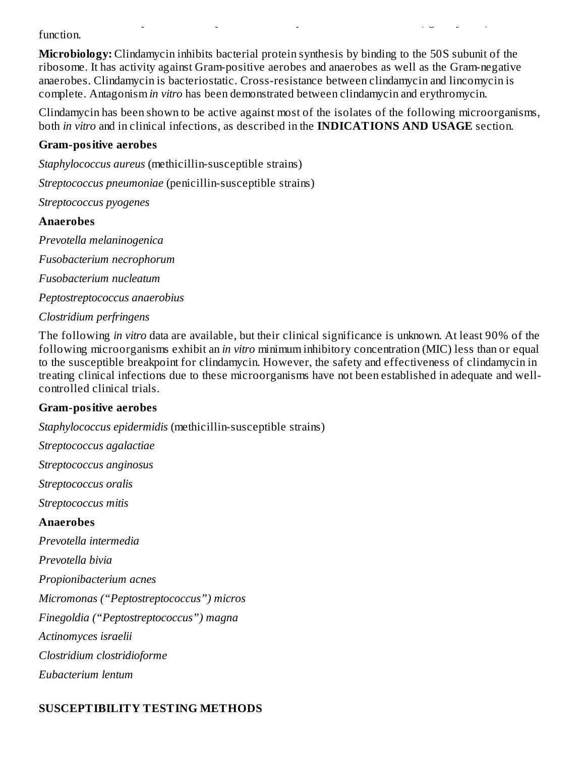function.

**Microbiology:** Clindamycin inhibits bacterial protein synthesis by binding to the 50S subunit of the ribosome. It has activity against Gram-positive aerobes and anaerobes as well as the Gram-negative anaerobes. Clindamycin is bacteriostatic. Cross-resistance between clindamycin and lincomycin is complete. Antagonism *in vitro* has been demonstrated between clindamycin and erythromycin.

alteration is necessary for the elderly with normal hepatic function and normal (age-adjusted) renal

Clindamycin has been shown to be active against most of the isolates of the following microorganisms, both *in vitro* and in clinical infections, as described in the **INDICATIONS AND USAGE** section.

#### **Gram-positive aerobes**

*Staphylococcus aureus* (methicillin-susceptible strains)

*Streptococcus pneumoniae* (penicillin-susceptible strains)

*Streptococcus pyogenes*

#### **Anaerobes**

*Prevotella melaninogenica*

*Fusobacterium necrophorum*

*Fusobacterium nucleatum*

*Peptostreptococcus anaerobius*

*Clostridium perfringens*

The following *in vitro* data are available, but their clinical significance is unknown. At least 90% of the following microorganisms exhibit an *in vitro* minimum inhibitory concentration (MIC) less than or equal to the susceptible breakpoint for clindamycin. However, the safety and effectiveness of clindamycin in treating clinical infections due to these microorganisms have not been established in adequate and wellcontrolled clinical trials.

## **Gram-positive aerobes**

*Staphylococcus epidermidis* (methicillin-susceptible strains) *Streptococcus agalactiae Streptococcus anginosus Streptococcus oralis Streptococcus mitis* **Anaerobes** *Prevotella intermedia Prevotella bivia Propionibacterium acnes Micromonas ("Peptostreptococcus") micros Finegoldia ("Peptostreptococcus") magna Actinomyces israelii Clostridium clostridioforme Eubacterium lentum*

## **SUSCEPTIBILITY TESTING METHODS**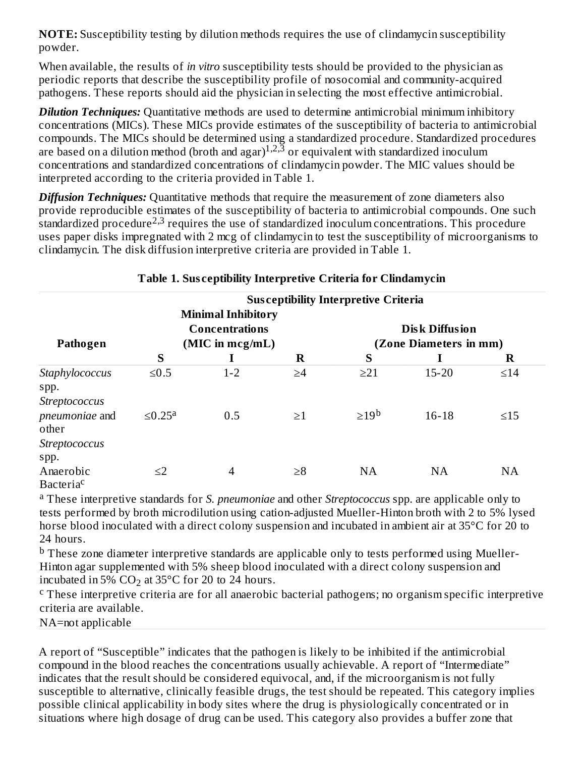**NOTE:** Susceptibility testing by dilution methods requires the use of clindamycin susceptibility powder.

When available, the results of *in vitro* susceptibility tests should be provided to the physician as periodic reports that describe the susceptibility profile of nosocomial and community-acquired pathogens. These reports should aid the physician in selecting the most effective antimicrobial.

*Dilution Techniques:* Quantitative methods are used to determine antimicrobial minimum inhibitory concentrations (MICs). These MICs provide estimates of the susceptibility of bacteria to antimicrobial compounds. The MICs should be determined using a standardized procedure. Standardized procedures are based on a dilution method (broth and agar)<sup>1,2,3</sup> or equivalent with standardized inoculum concentrations and standardized concentrations of clindamycin powder. The MIC values should be interpreted according to the criteria provided in Table 1.

*Diffusion Techniques:* Quantitative methods that require the measurement of zone diameters also provide reproducible estimates of the susceptibility of bacteria to antimicrobial compounds. One such standardized procedure<sup>2,3</sup> requires the use of standardized inoculum concentrations. This procedure uses paper disks impregnated with 2 mcg of clindamycin to test the susceptibility of microorganisms to clindamycin. The disk diffusion interpretive criteria are provided in Table 1.

|                                                                    | <b>Susceptibility Interpretive Criteria</b>                           |         |          |                                                 |           |           |  |
|--------------------------------------------------------------------|-----------------------------------------------------------------------|---------|----------|-------------------------------------------------|-----------|-----------|--|
| Pathogen                                                           | <b>Minimal Inhibitory</b><br><b>Concentrations</b><br>(MIC in mcg/mL) |         |          | <b>Disk Diffusion</b><br>(Zone Diameters in mm) |           |           |  |
|                                                                    | S                                                                     |         | R        | S                                               |           | R         |  |
| Staphylococcus<br>spp.                                             | $\leq 0.5$                                                            | $1 - 2$ | $\geq 4$ | $\geq$ 21                                       | $15 - 20$ | $\leq 14$ |  |
| <i>Streptococcus</i><br>pneumoniae and<br>other                    | $\leq$ 0.25 <sup>a</sup>                                              | 0.5     | $\geq$ 1 | $\geq 19^b$                                     | $16 - 18$ | $\leq 15$ |  |
| <i>Streptococcus</i><br>spp.<br>Anaerobic<br>Bacteria <sup>c</sup> | $\leq$ 2                                                              | 4       | $\geq 8$ | <b>NA</b>                                       | <b>NA</b> | <b>NA</b> |  |

## **Table 1. Sus ceptibility Interpretive Criteria for Clindamycin**

These interpretive standards for *S. pneumoniae* and other *Streptococcus* spp. are applicable only to a tests performed by broth microdilution using cation-adjusted Mueller-Hinton broth with 2 to 5% lysed horse blood inoculated with a direct colony suspension and incubated in ambient air at 35°C for 20 to 24 hours.

 $^{\rm b}$  These zone diameter interpretive standards are applicable only to tests performed using Mueller-Hinton agar supplemented with 5% sheep blood inoculated with a direct colony suspension and incubated in 5%  $CO<sub>2</sub>$  at 35°C for 20 to 24 hours.

<sup>c</sup> These interpretive criteria are for all anaerobic bacterial pathogens; no organism specific interpretive criteria are available.

NA=not applicable

A report of "Susceptible" indicates that the pathogen is likely to be inhibited if the antimicrobial compound in the blood reaches the concentrations usually achievable. A report of "Intermediate" indicates that the result should be considered equivocal, and, if the microorganism is not fully susceptible to alternative, clinically feasible drugs, the test should be repeated. This category implies possible clinical applicability in body sites where the drug is physiologically concentrated or in situations where high dosage of drug can be used. This category also provides a buffer zone that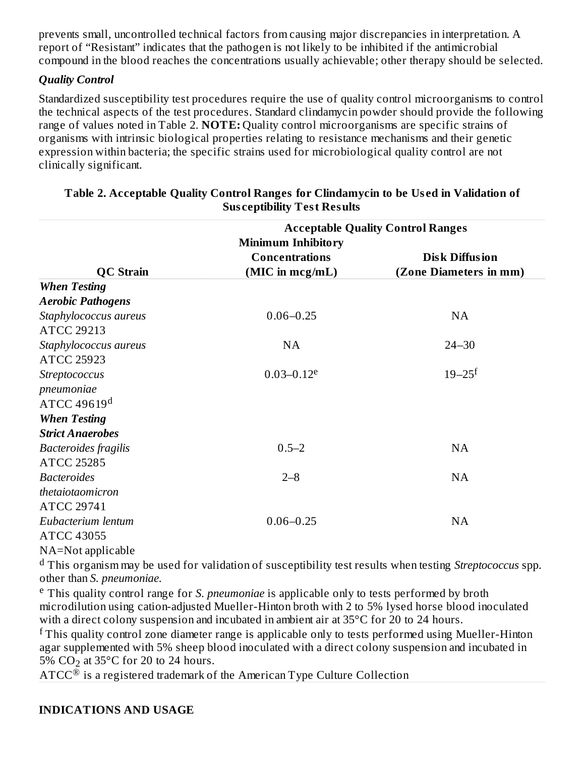prevents small, uncontrolled technical factors from causing major discrepancies in interpretation. A report of "Resistant" indicates that the pathogen is not likely to be inhibited if the antimicrobial compound in the blood reaches the concentrations usually achievable; other therapy should be selected.

## *Quality Control*

Standardized susceptibility test procedures require the use of quality control microorganisms to control the technical aspects of the test procedures. Standard clindamycin powder should provide the following range of values noted in Table 2. **NOTE:** Quality control microorganisms are specific strains of organisms with intrinsic biological properties relating to resistance mechanisms and their genetic expression within bacteria; the specific strains used for microbiological quality control are not clinically significant.

|                             | <b>Acceptable Quality Control Ranges</b>                                |                        |  |  |
|-----------------------------|-------------------------------------------------------------------------|------------------------|--|--|
|                             | <b>Minimum Inhibitory</b><br><b>Concentrations</b>                      | <b>Disk Diffusion</b>  |  |  |
| <b>QC</b> Strain            | (MIC in mcg/mL)                                                         | (Zone Diameters in mm) |  |  |
| <b>When Testing</b>         |                                                                         |                        |  |  |
| <b>Aerobic Pathogens</b>    |                                                                         |                        |  |  |
| Staphylococcus aureus       | $0.06 - 0.25$                                                           | <b>NA</b>              |  |  |
| <b>ATCC 29213</b>           |                                                                         |                        |  |  |
| Staphylococcus aureus       | <b>NA</b>                                                               | $24 - 30$              |  |  |
| <b>ATCC 25923</b>           |                                                                         |                        |  |  |
| Streptococcus               | $0.03 - 0.12$ <sup>e</sup>                                              | $19 - 25$ <sup>f</sup> |  |  |
| pneumoniae                  |                                                                         |                        |  |  |
| ATCC 49619 <sup>d</sup>     |                                                                         |                        |  |  |
| <b>When Testing</b>         |                                                                         |                        |  |  |
| <b>Strict Anaerobes</b>     |                                                                         |                        |  |  |
| <b>Bacteroides fragilis</b> | $0.5 - 2$                                                               | <b>NA</b>              |  |  |
| <b>ATCC 25285</b>           |                                                                         |                        |  |  |
| <b>Bacteroides</b>          | $2 - 8$                                                                 | <b>NA</b>              |  |  |
| thetaiotaomicron            |                                                                         |                        |  |  |
| <b>ATCC 29741</b>           |                                                                         |                        |  |  |
| Eubacterium lentum          | $0.06 - 0.25$                                                           | <b>NA</b>              |  |  |
| <b>ATCC 43055</b>           |                                                                         |                        |  |  |
| NA=Not applicable           |                                                                         |                        |  |  |
| $\lambda$ $\sim$ $\lambda$  | $\mathbf{1} \cdot \mathbf{1}$ $\mathbf{1} \cdot \mathbf{1}$<br>$\cdots$ |                        |  |  |

#### **Table 2. Acceptable Quality Control Ranges for Clindamycin to be Us ed in Validation of Sus ceptibility Test Results**

This organism may be used for validation of susceptibility test results when testing *Streptococcus* spp. d other than *S. pneumoniae.*

<sup>e</sup> This quality control range for *S. pneumoniae* is applicable only to tests performed by broth microdilution using cation-adjusted Mueller-Hinton broth with 2 to 5% lysed horse blood inoculated with a direct colony suspension and incubated in ambient air at 35°C for 20 to 24 hours.

 $^{\rm f}$  This quality control zone diameter range is applicable only to tests performed using Mueller-Hinton agar supplemented with 5% sheep blood inoculated with a direct colony suspension and incubated in 5%  $CO<sub>2</sub>$  at 35°C for 20 to 24 hours.

 $\mathrm{ATCC}^{\circledR}$  is a registered trademark of the American Type Culture Collection

## **INDICATIONS AND USAGE**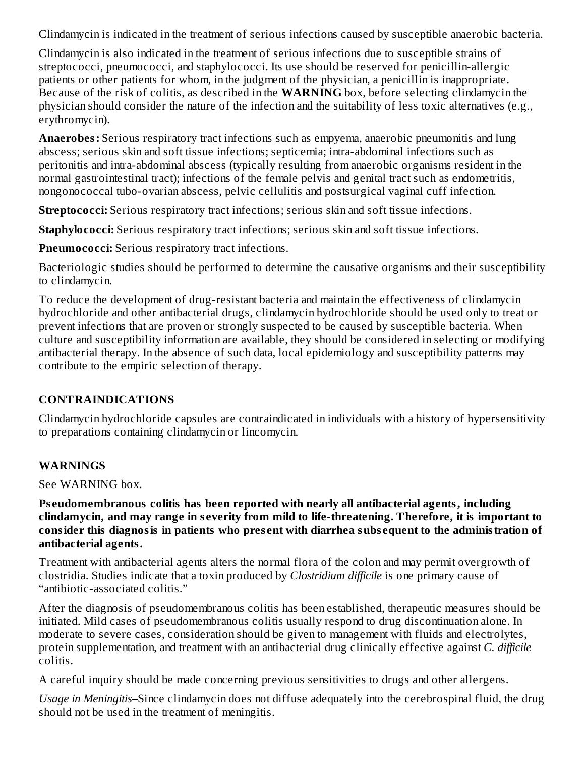Clindamycin is indicated in the treatment of serious infections caused by susceptible anaerobic bacteria.

Clindamycin is also indicated in the treatment of serious infections due to susceptible strains of streptococci, pneumococci, and staphylococci. Its use should be reserved for penicillin-allergic patients or other patients for whom, in the judgment of the physician, a penicillin is inappropriate. Because of the risk of colitis, as described in the **WARNING** box, before selecting clindamycin the physician should consider the nature of the infection and the suitability of less toxic alternatives (e.g., erythromycin).

**Anaerobes:** Serious respiratory tract infections such as empyema, anaerobic pneumonitis and lung abscess; serious skin and soft tissue infections; septicemia; intra-abdominal infections such as peritonitis and intra-abdominal abscess (typically resulting from anaerobic organisms resident in the normal gastrointestinal tract); infections of the female pelvis and genital tract such as endometritis, nongonococcal tubo-ovarian abscess, pelvic cellulitis and postsurgical vaginal cuff infection.

**Streptococci:** Serious respiratory tract infections; serious skin and soft tissue infections.

**Staphylococci:** Serious respiratory tract infections; serious skin and soft tissue infections.

**Pneumococci:** Serious respiratory tract infections.

Bacteriologic studies should be performed to determine the causative organisms and their susceptibility to clindamycin.

To reduce the development of drug-resistant bacteria and maintain the effectiveness of clindamycin hydrochloride and other antibacterial drugs, clindamycin hydrochloride should be used only to treat or prevent infections that are proven or strongly suspected to be caused by susceptible bacteria. When culture and susceptibility information are available, they should be considered in selecting or modifying antibacterial therapy. In the absence of such data, local epidemiology and susceptibility patterns may contribute to the empiric selection of therapy.

## **CONTRAINDICATIONS**

Clindamycin hydrochloride capsules are contraindicated in individuals with a history of hypersensitivity to preparations containing clindamycin or lincomycin.

## **WARNINGS**

See WARNING box.

## **Ps eudomembranous colitis has been reported with nearly all antibacterial agents, including clindamycin, and may range in s everity from mild to life-threatening. Therefore, it is important to consider this diagnosis in patients who pres ent with diarrhea subs equent to the administration of antibacterial agents.**

Treatment with antibacterial agents alters the normal flora of the colon and may permit overgrowth of clostridia. Studies indicate that a toxin produced by *Clostridium difficile* is one primary cause of "antibiotic-associated colitis."

After the diagnosis of pseudomembranous colitis has been established, therapeutic measures should be initiated. Mild cases of pseudomembranous colitis usually respond to drug discontinuation alone. In moderate to severe cases, consideration should be given to management with fluids and electrolytes, protein supplementation, and treatment with an antibacterial drug clinically effective against *C. difficile* colitis.

A careful inquiry should be made concerning previous sensitivities to drugs and other allergens.

*Usage in Meningitis–*Since clindamycin does not diffuse adequately into the cerebrospinal fluid, the drug should not be used in the treatment of meningitis.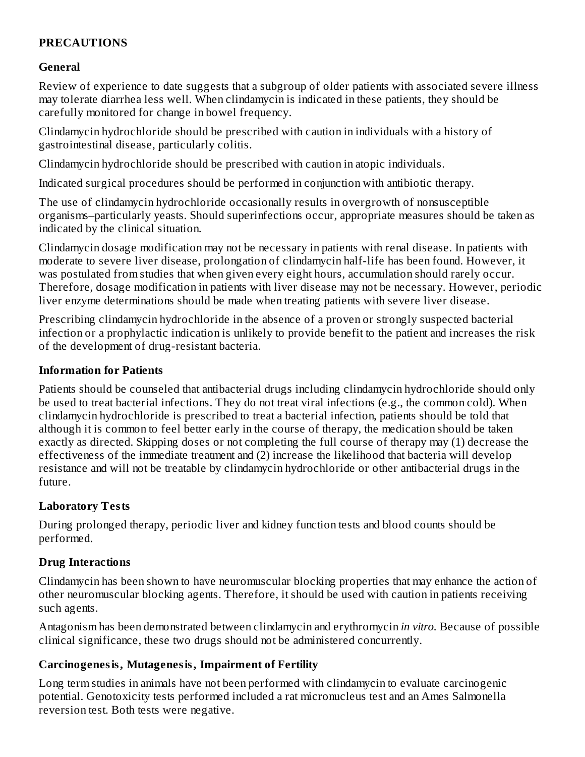## **PRECAUTIONS**

## **General**

Review of experience to date suggests that a subgroup of older patients with associated severe illness may tolerate diarrhea less well. When clindamycin is indicated in these patients, they should be carefully monitored for change in bowel frequency.

Clindamycin hydrochloride should be prescribed with caution in individuals with a history of gastrointestinal disease, particularly colitis.

Clindamycin hydrochloride should be prescribed with caution in atopic individuals.

Indicated surgical procedures should be performed in conjunction with antibiotic therapy.

The use of clindamycin hydrochloride occasionally results in overgrowth of nonsusceptible organisms–particularly yeasts. Should superinfections occur, appropriate measures should be taken as indicated by the clinical situation.

Clindamycin dosage modification may not be necessary in patients with renal disease. In patients with moderate to severe liver disease, prolongation of clindamycin half-life has been found. However, it was postulated from studies that when given every eight hours, accumulation should rarely occur. Therefore, dosage modification in patients with liver disease may not be necessary. However, periodic liver enzyme determinations should be made when treating patients with severe liver disease.

Prescribing clindamycin hydrochloride in the absence of a proven or strongly suspected bacterial infection or a prophylactic indication is unlikely to provide benefit to the patient and increases the risk of the development of drug-resistant bacteria.

#### **Information for Patients**

Patients should be counseled that antibacterial drugs including clindamycin hydrochloride should only be used to treat bacterial infections. They do not treat viral infections (e.g., the common cold). When clindamycin hydrochloride is prescribed to treat a bacterial infection, patients should be told that although it is common to feel better early in the course of therapy, the medication should be taken exactly as directed. Skipping doses or not completing the full course of therapy may (1) decrease the effectiveness of the immediate treatment and (2) increase the likelihood that bacteria will develop resistance and will not be treatable by clindamycin hydrochloride or other antibacterial drugs in the future.

## **Laboratory Tests**

During prolonged therapy, periodic liver and kidney function tests and blood counts should be performed.

## **Drug Interactions**

Clindamycin has been shown to have neuromuscular blocking properties that may enhance the action of other neuromuscular blocking agents. Therefore, it should be used with caution in patients receiving such agents.

Antagonism has been demonstrated between clindamycin and erythromycin *in vitro.* Because of possible clinical significance, these two drugs should not be administered concurrently.

## **Carcinogenesis, Mutagenesis, Impairment of Fertility**

Long term studies in animals have not been performed with clindamycin to evaluate carcinogenic potential. Genotoxicity tests performed included a rat micronucleus test and an Ames Salmonella reversion test. Both tests were negative.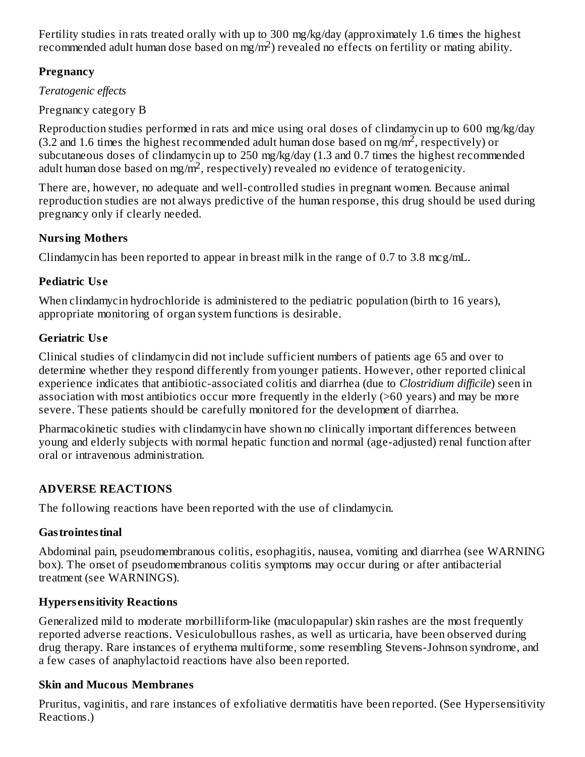Fertility studies in rats treated orally with up to 300 mg/kg/day (approximately 1.6 times the highest recommended adult human dose based on mg/m<sup>2</sup>) revealed no effects on fertility or mating ability.

## **Pregnancy**

*Teratogenic effects*

Pregnancy category B

Reproduction studies performed in rats and mice using oral doses of clindamycin up to 600 mg/kg/day (3.2 and 1.6 times the highest recommended adult human dose based on mg/m<sup>2</sup>, respectively) or subcutaneous doses of clindamycin up to 250 mg/kg/day (1.3 and 0.7 times the highest recommended adult human dose based on mg/m<sup>2</sup>, respectively) revealed no evidence of teratogenicity.

There are, however, no adequate and well-controlled studies in pregnant women. Because animal reproduction studies are not always predictive of the human response, this drug should be used during pregnancy only if clearly needed.

## **Nursing Mothers**

Clindamycin has been reported to appear in breast milk in the range of 0.7 to 3.8 mcg/mL.

## **Pediatric Us e**

When clindamycin hydrochloride is administered to the pediatric population (birth to 16 years), appropriate monitoring of organ system functions is desirable.

## **Geriatric Us e**

Clinical studies of clindamycin did not include sufficient numbers of patients age 65 and over to determine whether they respond differently from younger patients. However, other reported clinical experience indicates that antibiotic-associated colitis and diarrhea (due to *Clostridium difficile*) seen in association with most antibiotics occur more frequently in the elderly (>60 years) and may be more severe. These patients should be carefully monitored for the development of diarrhea.

Pharmacokinetic studies with clindamycin have shown no clinically important differences between young and elderly subjects with normal hepatic function and normal (age-adjusted) renal function after oral or intravenous administration.

## **ADVERSE REACTIONS**

The following reactions have been reported with the use of clindamycin.

## **Gastrointestinal**

Abdominal pain, pseudomembranous colitis, esophagitis, nausea, vomiting and diarrhea (see WARNING box). The onset of pseudomembranous colitis symptoms may occur during or after antibacterial treatment (see WARNINGS).

## **Hypers ensitivity Reactions**

Generalized mild to moderate morbilliform-like (maculopapular) skin rashes are the most frequently reported adverse reactions. Vesiculobullous rashes, as well as urticaria, have been observed during drug therapy. Rare instances of erythema multiforme, some resembling Stevens-Johnson syndrome, and a few cases of anaphylactoid reactions have also been reported.

## **Skin and Mucous Membranes**

Pruritus, vaginitis, and rare instances of exfoliative dermatitis have been reported. (See Hypersensitivity Reactions.)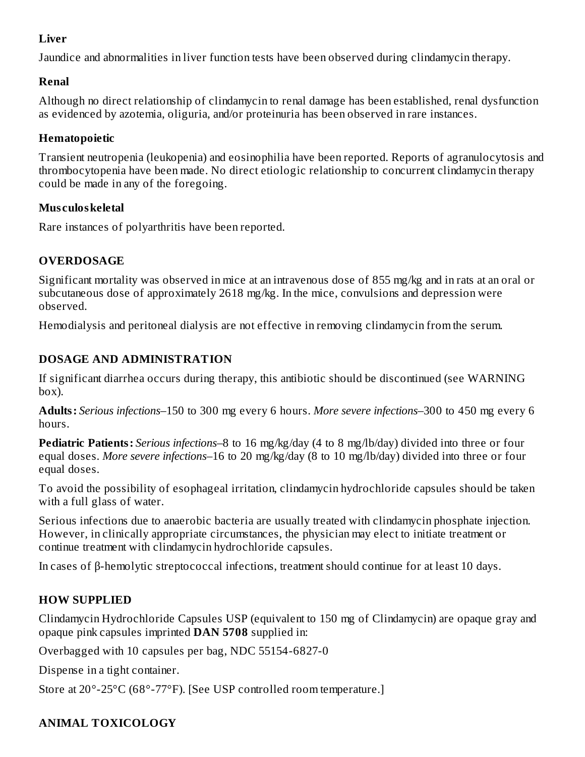## **Liver**

Jaundice and abnormalities in liver function tests have been observed during clindamycin therapy.

## **Renal**

Although no direct relationship of clindamycin to renal damage has been established, renal dysfunction as evidenced by azotemia, oliguria, and/or proteinuria has been observed in rare instances.

## **Hematopoietic**

Transient neutropenia (leukopenia) and eosinophilia have been reported. Reports of agranulocytosis and thrombocytopenia have been made. No direct etiologic relationship to concurrent clindamycin therapy could be made in any of the foregoing.

## **Mus culoskeletal**

Rare instances of polyarthritis have been reported.

## **OVERDOSAGE**

Significant mortality was observed in mice at an intravenous dose of 855 mg/kg and in rats at an oral or subcutaneous dose of approximately 2618 mg/kg. In the mice, convulsions and depression were observed.

Hemodialysis and peritoneal dialysis are not effective in removing clindamycin from the serum.

## **DOSAGE AND ADMINISTRATION**

If significant diarrhea occurs during therapy, this antibiotic should be discontinued (see WARNING box).

**Adults:** *Serious infections*–150 to 300 mg every 6 hours. *More severe infections–*300 to 450 mg every 6 hours.

**Pediatric Patients:** *Serious infections–*8 to 16 mg/kg/day (4 to 8 mg/lb/day) divided into three or four equal doses. *More severe infections–*16 to 20 mg/kg/day (8 to 10 mg/lb/day) divided into three or four equal doses.

To avoid the possibility of esophageal irritation, clindamycin hydrochloride capsules should be taken with a full glass of water.

Serious infections due to anaerobic bacteria are usually treated with clindamycin phosphate injection. However, in clinically appropriate circumstances, the physician may elect to initiate treatment or continue treatment with clindamycin hydrochloride capsules.

In cases of β-hemolytic streptococcal infections, treatment should continue for at least 10 days.

## **HOW SUPPLIED**

Clindamycin Hydrochloride Capsules USP (equivalent to 150 mg of Clindamycin) are opaque gray and opaque pink capsules imprinted **DAN 5708** supplied in:

Overbagged with 10 capsules per bag, NDC 55154-6827-0

Dispense in a tight container.

Store at 20°-25°C (68°-77°F). [See USP controlled room temperature.]

## **ANIMAL TOXICOLOGY**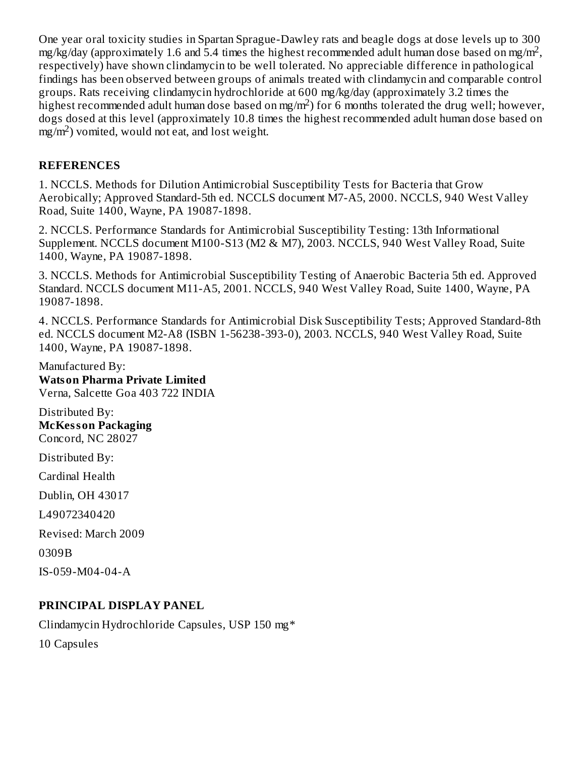One year oral toxicity studies in Spartan Sprague-Dawley rats and beagle dogs at dose levels up to 300 mg/kg/day (approximately 1.6 and 5.4 times the highest recommended adult human dose based on mg/m<sup>2</sup>, respectively) have shown clindamycin to be well tolerated. No appreciable difference in pathological findings has been observed between groups of animals treated with clindamycin and comparable control groups. Rats receiving clindamycin hydrochloride at 600 mg/kg/day (approximately 3.2 times the highest recommended adult human dose based on mg/m<sup>2</sup>) for 6 months tolerated the drug well; however, dogs dosed at this level (approximately 10.8 times the highest recommended adult human dose based on  $mg/m<sup>2</sup>$ ) vomited, would not eat, and lost weight.

## **REFERENCES**

1. NCCLS. Methods for Dilution Antimicrobial Susceptibility Tests for Bacteria that Grow Aerobically; Approved Standard-5th ed. NCCLS document M7-A5, 2000. NCCLS, 940 West Valley Road, Suite 1400, Wayne, PA 19087-1898.

2. NCCLS. Performance Standards for Antimicrobial Susceptibility Testing: 13th Informational Supplement. NCCLS document M100-S13 (M2 & M7), 2003. NCCLS, 940 West Valley Road, Suite 1400, Wayne, PA 19087-1898.

3. NCCLS. Methods for Antimicrobial Susceptibility Testing of Anaerobic Bacteria 5th ed. Approved Standard. NCCLS document M11-A5, 2001. NCCLS, 940 West Valley Road, Suite 1400, Wayne, PA 19087-1898.

4. NCCLS. Performance Standards for Antimicrobial Disk Susceptibility Tests; Approved Standard-8th ed. NCCLS document M2-A8 (ISBN 1-56238-393-0), 2003. NCCLS, 940 West Valley Road, Suite 1400, Wayne, PA 19087-1898.

Manufactured By: **Watson Pharma Private Limited** Verna, Salcette Goa 403 722 INDIA

Distributed By: **McKesson Packaging** Concord, NC 28027 Distributed By: Cardinal Health Dublin, OH 43017 L49072340420 Revised: March 2009

0309B

IS-059-M04-04-A

## **PRINCIPAL DISPLAY PANEL**

Clindamycin Hydrochloride Capsules, USP 150 mg\* 10 Capsules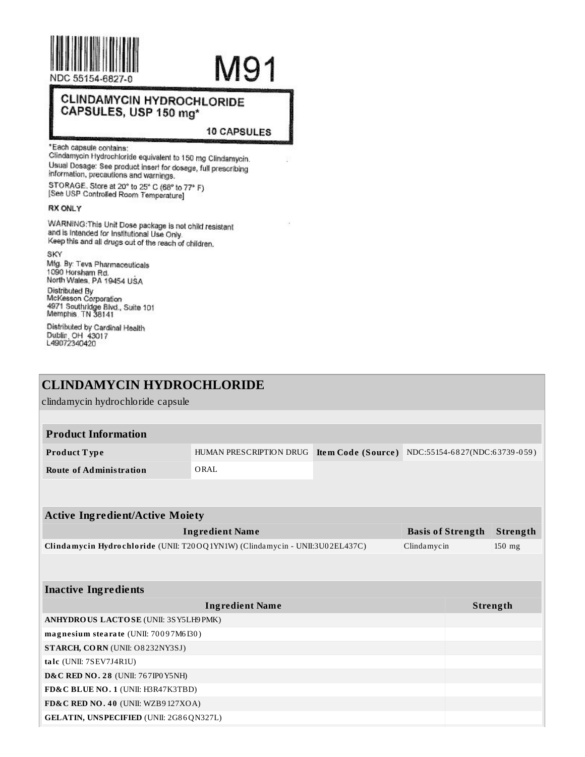

# M91

## **CLINDAMYCIN HYDROCHLORIDE** CAPSULES, USP 150 mg\*

#### 10 CAPSULES

\*Each capsule contains:

Clindamycin Hydrochloride equivalent to 150 mg Clindamycin. Usual Dosage: See product insert for dosage, full prescribing information, precautions and warnings.

STORAGE. Store at 20° to 25° C (68° to 77° F) [See USP Controlled Room Temperature]

#### **RX ONLY**

WARNING: This Unit Dose package is not child resistant<br>and is intended for Institutional Use Only.<br>Keep this and all darge and all dargers Keep this and all drugs out of the reach of children.

SKY

Mfg. By: Teva Pharmaceuticals 1090 Horsham Rd.<br>North Wales, PA 19454 USA Distributed By<br>McKesson Corporation<br>4971 Southridge Blvd., Suite 101<br>Memphis, TN 38141

Distributed by Cardinal Health Dublin, OH 43017<br>L49072340420

| <b>CLINDAMYCIN HYDROCHLORIDE</b><br>clindamycin hydrochloride capsule                       |                         |                                                  |                          |  |          |  |
|---------------------------------------------------------------------------------------------|-------------------------|--------------------------------------------------|--------------------------|--|----------|--|
|                                                                                             |                         |                                                  |                          |  |          |  |
| <b>Product Information</b>                                                                  |                         |                                                  |                          |  |          |  |
| Product Type                                                                                | HUMAN PRESCRIPTION DRUG | Item Code (Source) NDC:55154-6827(NDC:63739-059) |                          |  |          |  |
| <b>Route of Administration</b>                                                              | ORAL                    |                                                  |                          |  |          |  |
|                                                                                             |                         |                                                  |                          |  |          |  |
| <b>Active Ingredient/Active Moiety</b>                                                      |                         |                                                  |                          |  |          |  |
|                                                                                             | <b>Ingredient Name</b>  |                                                  | <b>Basis of Strength</b> |  | Strength |  |
| Clindamycin Hydrochloride (UNII: T20OQ1YN1W) (Clindamycin - UNII:3U02EL437C)<br>Clindamycin |                         |                                                  |                          |  | $150$ mg |  |
|                                                                                             |                         |                                                  |                          |  |          |  |
| <b>Inactive Ingredients</b>                                                                 |                         |                                                  |                          |  |          |  |
| <b>Ingredient Name</b>                                                                      |                         |                                                  |                          |  | Strength |  |
| ANHYDROUS LACTOSE (UNII: 3SY5LH9PMK)                                                        |                         |                                                  |                          |  |          |  |
| magnesium stearate (UNII: 70097M6I30)                                                       |                         |                                                  |                          |  |          |  |
| STARCH, CORN (UNII: O8232NY3SJ)                                                             |                         |                                                  |                          |  |          |  |
| talc (UNII: 7SEV7J4R1U)                                                                     |                         |                                                  |                          |  |          |  |
| D&C RED NO. 28 (UNII: 767IP0 Y5NH)                                                          |                         |                                                  |                          |  |          |  |
| FD&C BLUE NO. 1 (UNII: H3R47K3TBD)                                                          |                         |                                                  |                          |  |          |  |
| FD&C RED NO. 40 (UNII: WZB9127XOA)                                                          |                         |                                                  |                          |  |          |  |
| <b>GELATIN, UNSPECIFIED (UNII: 2G86QN327L)</b>                                              |                         |                                                  |                          |  |          |  |
|                                                                                             |                         |                                                  |                          |  |          |  |